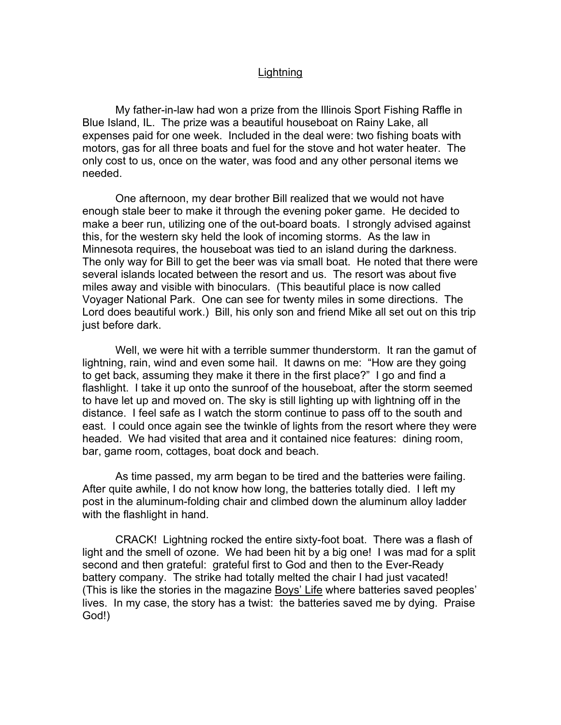## **Lightning**

 My father-in-law had won a prize from the Illinois Sport Fishing Raffle in Blue Island, IL. The prize was a beautiful houseboat on Rainy Lake, all expenses paid for one week. Included in the deal were: two fishing boats with motors, gas for all three boats and fuel for the stove and hot water heater. The only cost to us, once on the water, was food and any other personal items we needed.

 One afternoon, my dear brother Bill realized that we would not have enough stale beer to make it through the evening poker game. He decided to make a beer run, utilizing one of the out-board boats. I strongly advised against this, for the western sky held the look of incoming storms. As the law in Minnesota requires, the houseboat was tied to an island during the darkness. The only way for Bill to get the beer was via small boat. He noted that there were several islands located between the resort and us. The resort was about five miles away and visible with binoculars. (This beautiful place is now called Voyager National Park. One can see for twenty miles in some directions. The Lord does beautiful work.) Bill, his only son and friend Mike all set out on this trip just before dark.

 Well, we were hit with a terrible summer thunderstorm. It ran the gamut of lightning, rain, wind and even some hail. It dawns on me: "How are they going to get back, assuming they make it there in the first place?" I go and find a flashlight. I take it up onto the sunroof of the houseboat, after the storm seemed to have let up and moved on. The sky is still lighting up with lightning off in the distance. I feel safe as I watch the storm continue to pass off to the south and east. I could once again see the twinkle of lights from the resort where they were headed. We had visited that area and it contained nice features: dining room, bar, game room, cottages, boat dock and beach.

 As time passed, my arm began to be tired and the batteries were failing. After quite awhile, I do not know how long, the batteries totally died. I left my post in the aluminum-folding chair and climbed down the aluminum alloy ladder with the flashlight in hand.

 CRACK! Lightning rocked the entire sixty-foot boat. There was a flash of light and the smell of ozone. We had been hit by a big one! I was mad for a split second and then grateful: grateful first to God and then to the Ever-Ready battery company. The strike had totally melted the chair I had just vacated! (This is like the stories in the magazine Boys' Life where batteries saved peoples' lives. In my case, the story has a twist: the batteries saved me by dying. Praise God!)